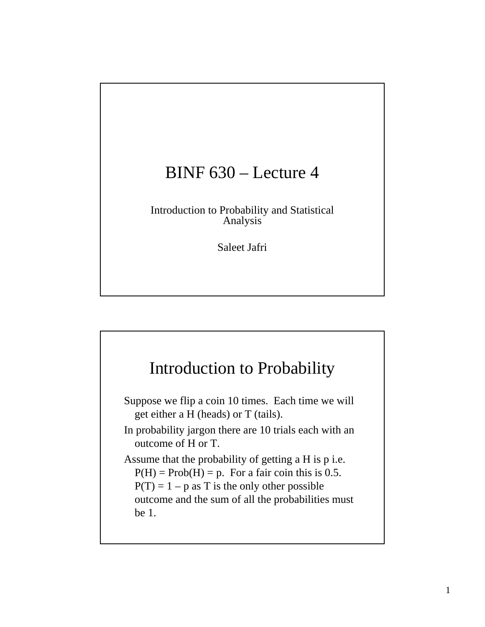## BINF 630 – Lecture 4

Introduction to Probability and Statistical Analysis

Saleet Jafri

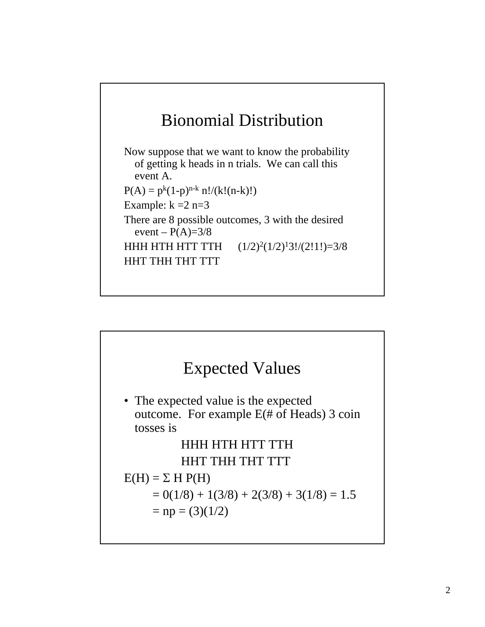

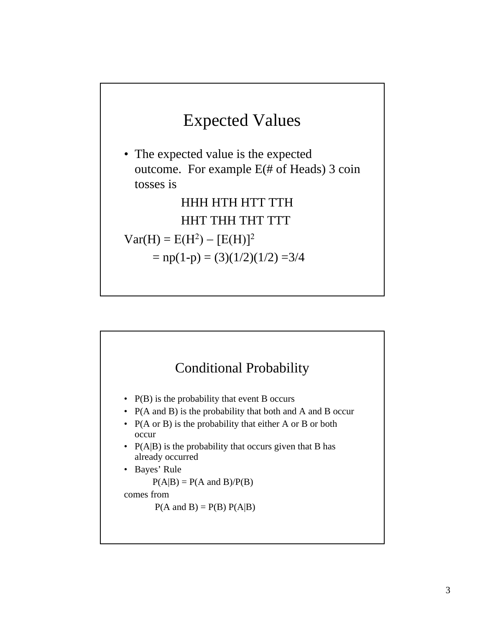

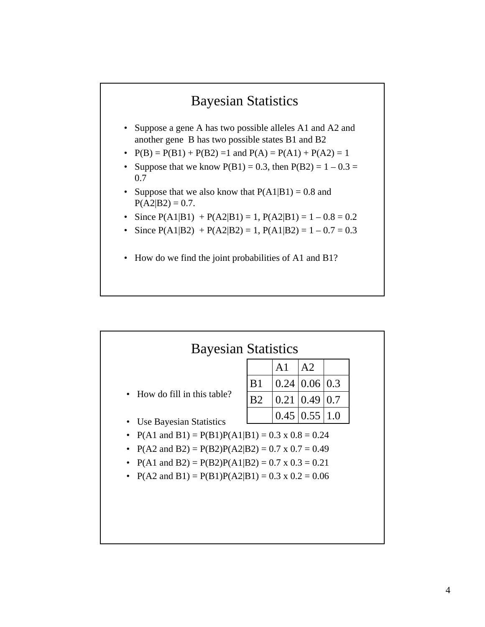

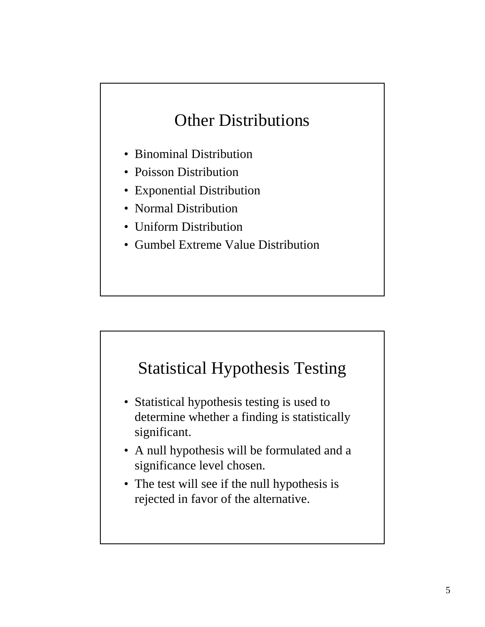# Other Distributions

- Binominal Distribution
- Poisson Distribution
- Exponential Distribution
- Normal Distribution
- Uniform Distribution
- Gumbel Extreme Value Distribution

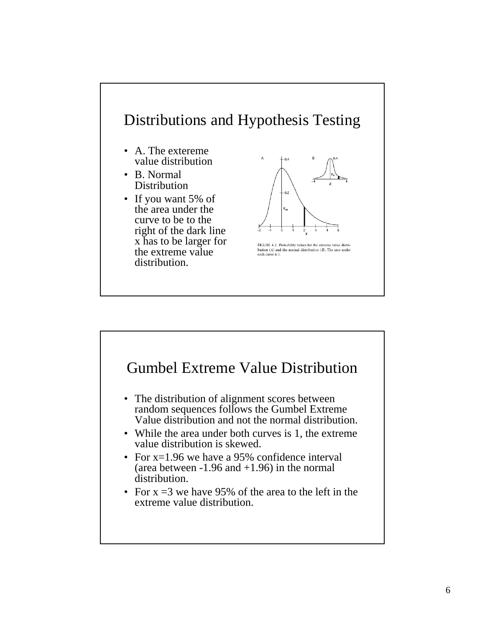

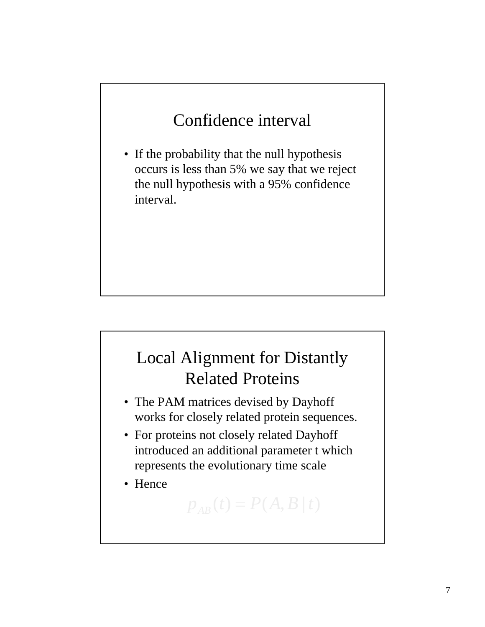# Confidence interval

• If the probability that the null hypothesis occurs is less than 5% we say that we reject the null hypothesis with a 95% confidence interval.

# Local Alignment for Distantly Related Proteins

- The PAM matrices devised by Dayhoff works for closely related protein sequences.
- For proteins not closely related Dayhoff introduced an additional parameter t which represents the evolutionary time scale

 $p_{AB}(t) = P(A, B | t)$ 

• Hence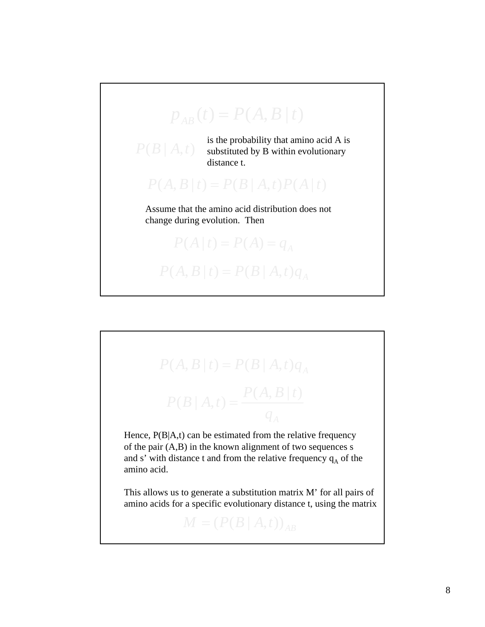

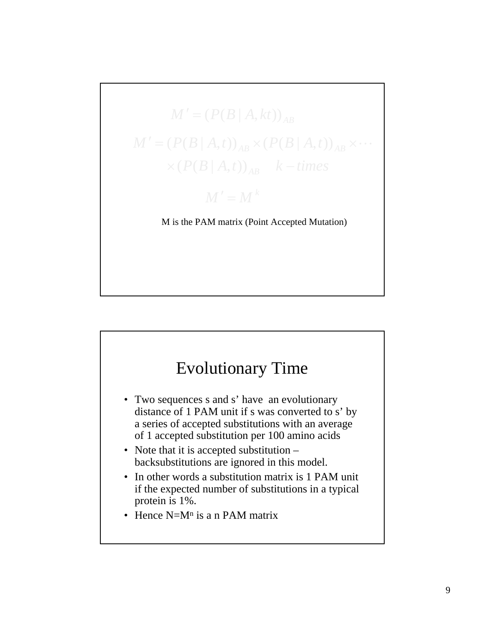

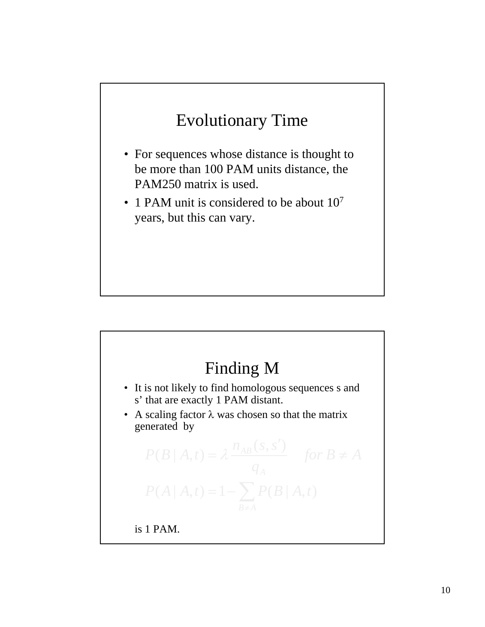# Evolutionary Time

- For sequences whose distance is thought to be more than 100 PAM units distance, the PAM250 matrix is used.
- 1 PAM unit is considered to be about  $10<sup>7</sup>$ years, but this can vary.

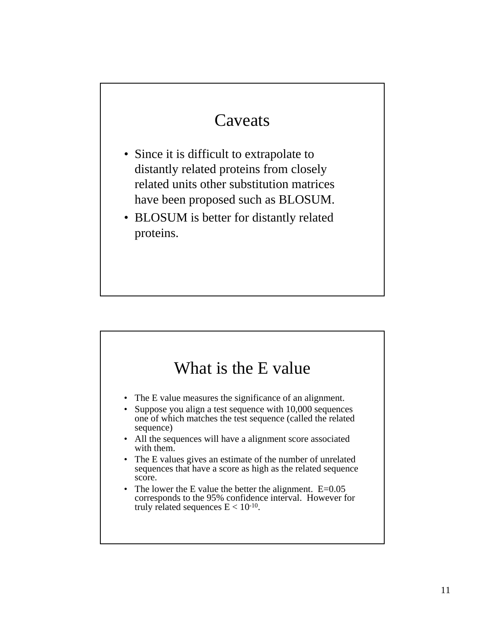## Caveats

- Since it is difficult to extrapolate to distantly related proteins from closely related units other substitution matrices have been proposed such as BLOSUM.
- BLOSUM is better for distantly related proteins.

#### What is the E value

- The E value measures the significance of an alignment.
- Suppose you align a test sequence with 10,000 sequences one of which matches the test sequence (called the related sequence)
- All the sequences will have a alignment score associated with them.
- The E values gives an estimate of the number of unrelated sequences that have a score as high as the related sequence score.
- The lower the E value the better the alignment. E=0.05 corresponds to the 95% confidence interval. However for truly related sequences  $E < 10^{-10}$ .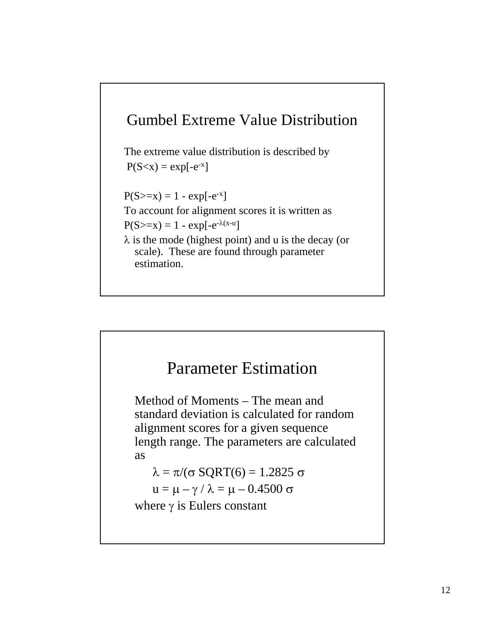

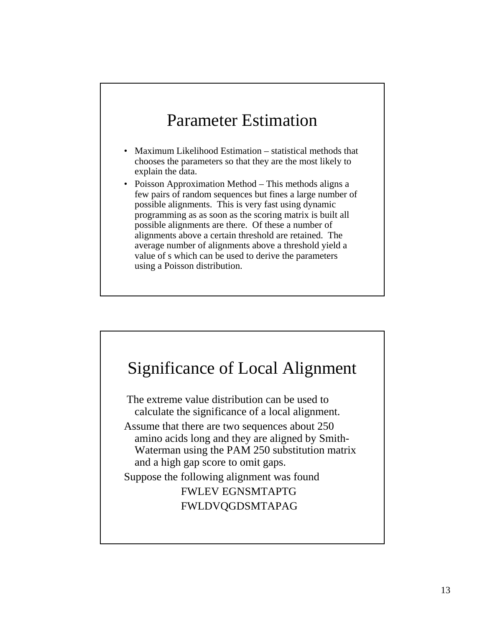#### Parameter Estimation

- Maximum Likelihood Estimation statistical methods that chooses the parameters so that they are the most likely to explain the data.
- Poisson Approximation Method This methods aligns a few pairs of random sequences but fines a large number of possible alignments. This is very fast using dynamic programming as as soon as the scoring matrix is built all possible alignments are there. Of these a number of alignments above a certain threshold are retained. The average number of alignments above a threshold yield a value of s which can be used to derive the parameters using a Poisson distribution.

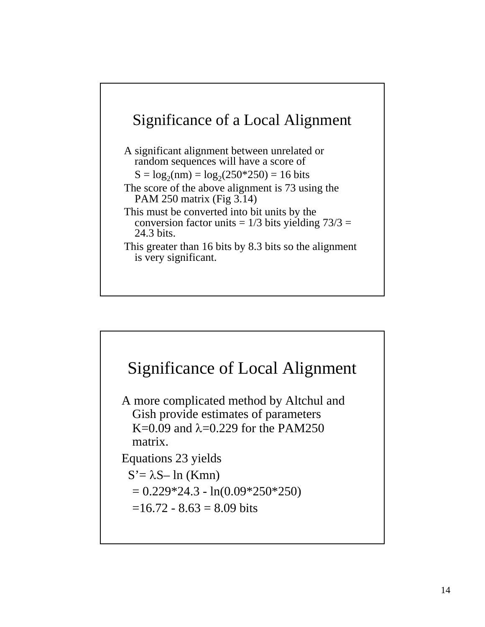

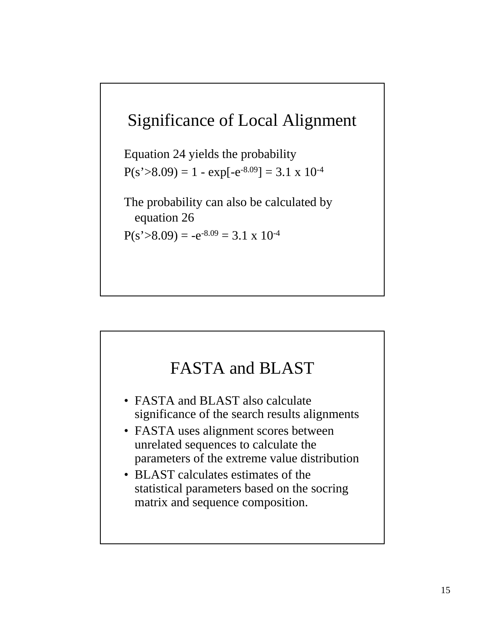#### Significance of Local Alignment

Equation 24 yields the probability  $P(s > 8.09) = 1 - exp[-e^{-8.09}] = 3.1 \times 10^{-4}$ 

The probability can also be calculated by equation 26

 $P(s > 8.09) = -e^{-8.09} = 3.1 \times 10^{-4}$ 

#### FASTA and BLAST

- FASTA and BLAST also calculate significance of the search results alignments
- FASTA uses alignment scores between unrelated sequences to calculate the parameters of the extreme value distribution
- BLAST calculates estimates of the statistical parameters based on the socring matrix and sequence composition.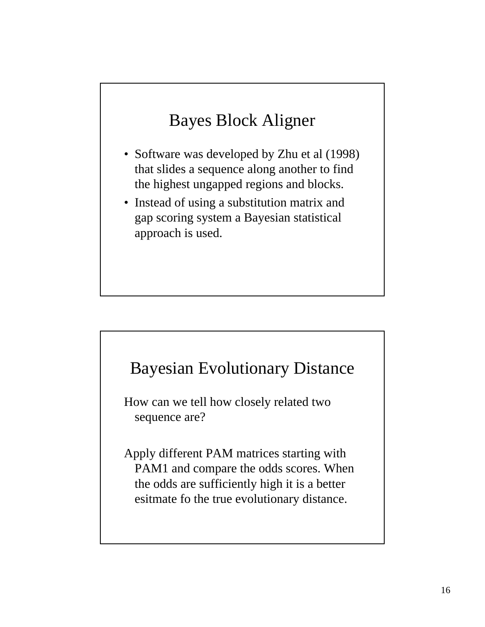# Bayes Block Aligner

- Software was developed by Zhu et al (1998) that slides a sequence along another to find the highest ungapped regions and blocks.
- Instead of using a substitution matrix and gap scoring system a Bayesian statistical approach is used.



How can we tell how closely related two sequence are?

Apply different PAM matrices starting with PAM1 and compare the odds scores. When the odds are sufficiently high it is a better esitmate fo the true evolutionary distance.